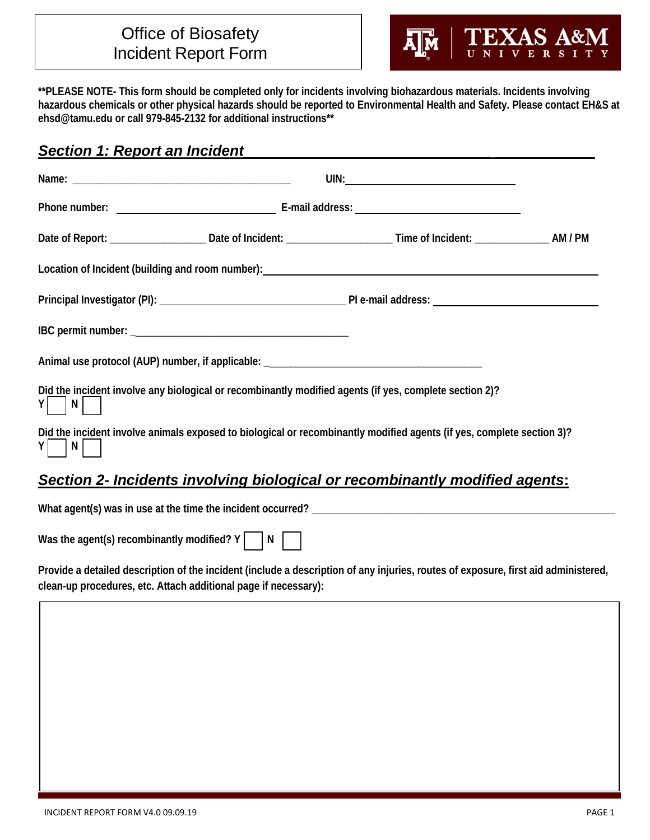## Office of Biosafety Incident Report Form



**\*\*PLEASE NOTE- This form should be completed only for incidents involving biohazardous materials. Incidents involving hazardous chemicals or other physical hazards should be reported to Environmental Health and Safety. Please contact EH&S at ehsd@tamu.edu or call 979-845-2132 for additional instructions\*\***

## **Section 1: Report an Incident**

| Location of Incident (building and room number): Later and the control of the control of the control of the control of the control of the control of the control of the control of the control of the control of the control o |  |  |  |
|--------------------------------------------------------------------------------------------------------------------------------------------------------------------------------------------------------------------------------|--|--|--|
|                                                                                                                                                                                                                                |  |  |  |
|                                                                                                                                                                                                                                |  |  |  |
| Animal use protocol (AUP) number, if applicable: ________________________________                                                                                                                                              |  |  |  |
| Did the incident involve any biological or recombinantly modified agents (if yes, complete section 2)?<br>Y N                                                                                                                  |  |  |  |
| Did the incident involve animals exposed to biological or recombinantly modified agents (if yes, complete section 3)?<br>$\vert N \vert$<br>ΥI                                                                                 |  |  |  |
| Section 2- Incidents involving biological or recombinantly modified agents:                                                                                                                                                    |  |  |  |
|                                                                                                                                                                                                                                |  |  |  |
| Was the agent(s) recombinantly modified? $Y$     N                                                                                                                                                                             |  |  |  |

**Provide a detailed description of the incident (include a description of any injuries, routes of exposure, first aid administered, clean-up procedures, etc. Attach additional page if necessary):** 

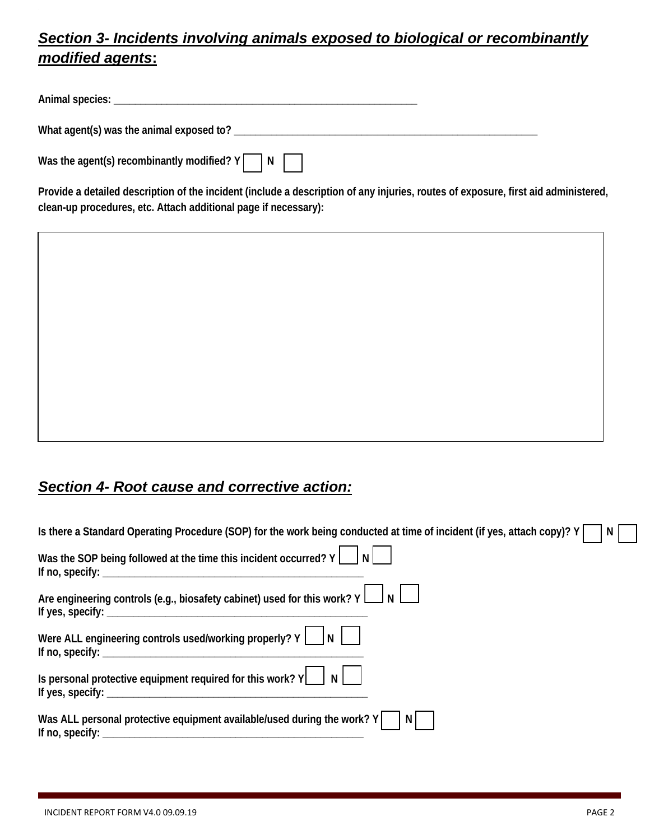## *Section 3- Incidents involving animals exposed to biological or recombinantly modified agents***:**

| Animal species:                                   |  |
|---------------------------------------------------|--|
| What agent(s) was the animal exposed to?          |  |
| Was the agent(s) recombinantly modified? Y<br>I N |  |

**Provide a detailed description of the incident (include a description of any injuries, routes of exposure, first aid administered, clean-up procedures, etc. Attach additional page if necessary):** 

|  |  | Section 4- Root cause and corrective action: |
|--|--|----------------------------------------------|
|  |  |                                              |

| Is there a Standard Operating Procedure (SOP) for the work being conducted at time of incident (if yes, attach copy)? Y<br>N                                                                                                                                                                                       |  |
|--------------------------------------------------------------------------------------------------------------------------------------------------------------------------------------------------------------------------------------------------------------------------------------------------------------------|--|
| Was the SOP being followed at the time this incident occurred? $Y \begin{bmatrix} 1 \\ 1 \end{bmatrix} N$                                                                                                                                                                                                          |  |
| Are engineering controls (e.g., biosafety cabinet) used for this work? $Y \bigsqcup N$                                                                                                                                                                                                                             |  |
| Were ALL engineering controls used/working properly? $Y \cup N$                                                                                                                                                                                                                                                    |  |
| Is personal protective equipment required for this work? $Y \cup N$<br>If yes, specify: $\_\_$                                                                                                                                                                                                                     |  |
| Was ALL personal protective equipment available/used during the work? Y<br>INI<br>If no, specify: $\sqrt{2}$ is a set of the set of the set of the set of the set of the set of the set of the set of the set of the set of the set of the set of the set of the set of the set of the set of the set of the set o |  |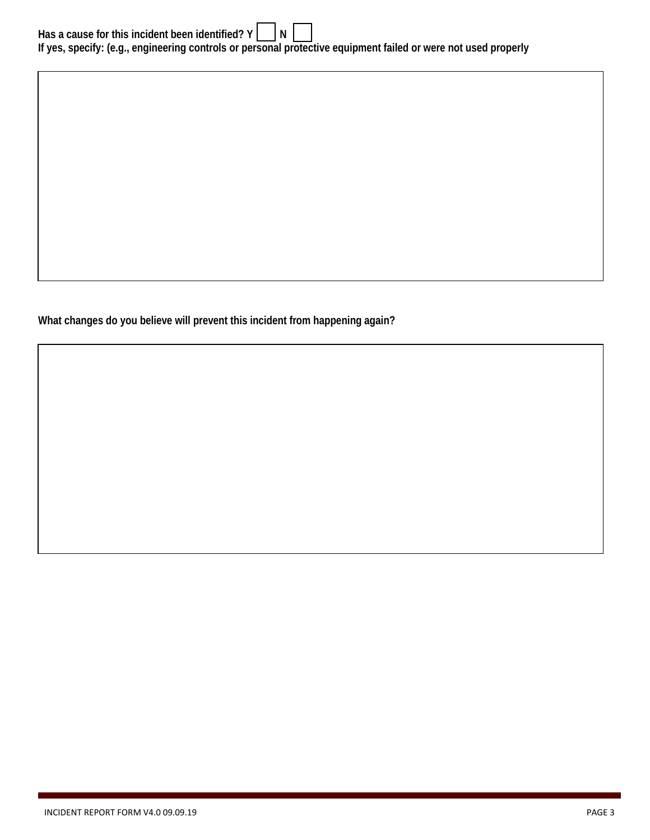| Has a cause for this incident been identified? $Y \cap \mathbb{N}$                                             |  |  |  |  |
|----------------------------------------------------------------------------------------------------------------|--|--|--|--|
| If yes, specify: (e.g., engineering controls or personal protective equipment failed or were not used properly |  |  |  |  |

**What changes do you believe will prevent this incident from happening again?**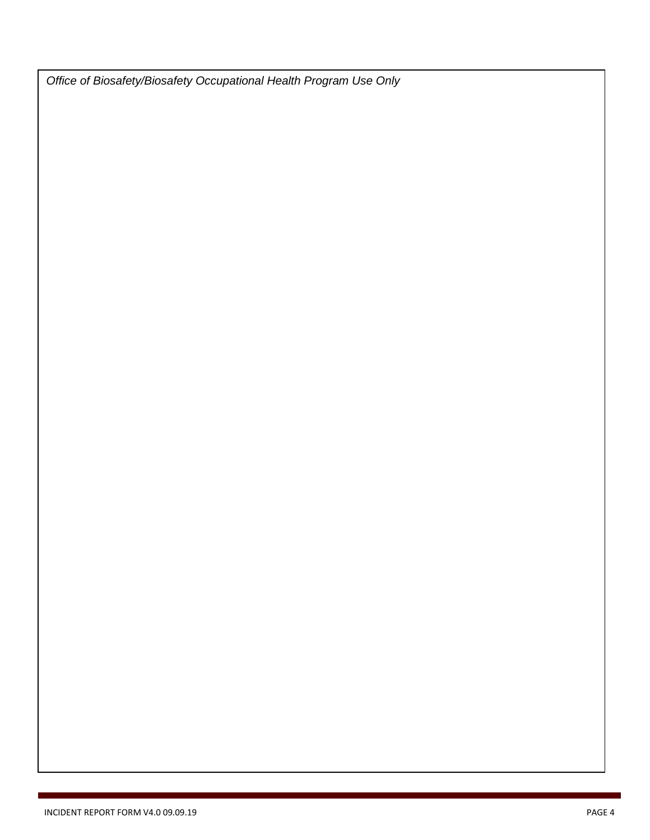*Office of Biosafety/Biosafety Occupational Health Program Use Only*